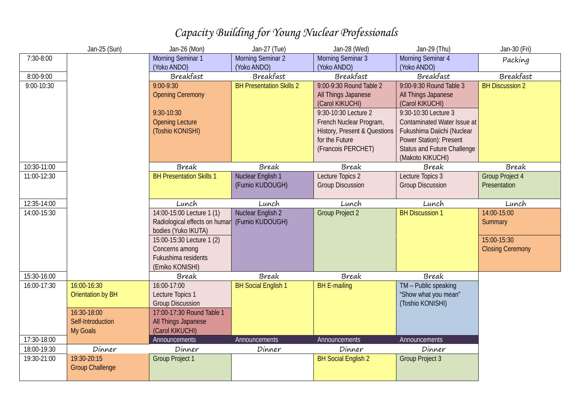## *Capacity Building for Young Nuclear Professionals*

|             | Jan-25 (Sun)             | Jan-26 (Mon)                                  | Jan-27 (Tue)                    | Jan-28 (Wed)                 | Jan-29 (Thu)                       | Jan-30 (Fri)            |
|-------------|--------------------------|-----------------------------------------------|---------------------------------|------------------------------|------------------------------------|-------------------------|
| 7:30-8:00   |                          | Morning Seminar 1                             | Morning Seminar 2               | Morning Seminar 3            | Morning Seminar 4                  | Packing                 |
|             |                          | (Yoko ANDO)                                   | (Yoko ANDO)                     | (Yoko ANDO)                  | (Yoko ANDO)                        |                         |
| 8:00-9:00   |                          | Breakfast                                     | Breakfast                       | Breakfast                    | Breakfast                          | Breakfast               |
| 9:00-10:30  |                          | $9:00 - 9:30$                                 | <b>BH Presentation Skills 2</b> | 9:00-9:30 Round Table 2      | 9:00-9:30 Round Table 3            | <b>BH Discussion 2</b>  |
|             |                          | <b>Opening Ceremony</b>                       |                                 | All Things Japanese          | All Things Japanese                |                         |
|             |                          |                                               |                                 | (Carol KIKUCHI)              | (Carol KIKUCHI)                    |                         |
|             |                          | $9:30-10:30$                                  |                                 | 9:30-10:30 Lecture 2         | 9:30-10:30 Lecture 3               |                         |
|             |                          | <b>Opening Lecture</b>                        |                                 | French Nuclear Program,      | Contaminated Water Issue at        |                         |
|             |                          | (Toshio KONISHI)                              |                                 | History, Present & Questions | Fukushima Daiichi (Nuclear         |                         |
|             |                          |                                               |                                 | for the Future               | Power Station): Present            |                         |
|             |                          |                                               |                                 | (Francois PERCHET)           | <b>Status and Future Challenge</b> |                         |
|             |                          |                                               |                                 |                              | (Makoto KIKUCHI)                   |                         |
| 10:30-11:00 |                          | Break                                         | Break                           | Break                        | Break                              | Break                   |
| 11:00-12:30 |                          | <b>BH Presentation Skills 1</b>               | Nuclear English 1               | Lecture Topics 2             | Lecture Topics 3                   | <b>Group Project 4</b>  |
|             |                          |                                               | (Fumio KUDOUGH)                 | <b>Group Discussion</b>      | <b>Group Discussion</b>            | Presentation            |
| 12:35-14:00 |                          | Lunch                                         | Lunch                           | Lunch                        | Lunch                              | Lunch                   |
| 14:00-15:30 |                          | 14:00-15:00 Lecture 1 (1)                     | Nuclear English 2               | <b>Group Project 2</b>       | <b>BH Discussion 1</b>             | 14:00-15:00             |
|             |                          | Radiological effects on humar (Fumio KUDOUGH) |                                 |                              |                                    | Summary                 |
|             |                          | bodies (Yuko IKUTA)                           |                                 |                              |                                    |                         |
|             |                          | 15:00-15:30 Lecture 1 (2)                     |                                 |                              |                                    | 15:00-15:30             |
|             |                          | Concerns among                                |                                 |                              |                                    | <b>Closing Ceremony</b> |
|             |                          | Fukushima residents                           |                                 |                              |                                    |                         |
|             |                          | (Emiko KONISHI)                               |                                 |                              |                                    |                         |
| 15:30-16:00 |                          | Break                                         | Break                           | Break                        | Break                              |                         |
| 16:00-17:30 | 16:00-16:30              | 16:00-17:00                                   | <b>BH Social English 1</b>      | <b>BH E-mailing</b>          | TM - Public speaking               |                         |
|             | <b>Orientation by BH</b> | Lecture Topics 1                              |                                 |                              | "Show what you mean"               |                         |
|             |                          | <b>Group Discussion</b>                       |                                 |                              | (Toshio KONISHI)                   |                         |
|             | 16:30-18:00              |                                               |                                 |                              |                                    |                         |
|             |                          | 17:00-17:30 Round Table 1                     |                                 |                              |                                    |                         |
|             | Self-Introduction        | All Things Japanese                           |                                 |                              |                                    |                         |
|             | My Goals                 | (Carol KIKUCHI)                               |                                 |                              |                                    |                         |
| 17:30-18:00 |                          | Announcements                                 | Announcements                   | Announcements                | Announcements                      |                         |
| 18:00-19:30 | Dinner                   | Dinner                                        | Dinner                          | Dinner                       | Dinner                             |                         |
| 19:30-21:00 | 19:30-20:15              | <b>Group Project 1</b>                        |                                 | <b>BH Social English 2</b>   | <b>Group Project 3</b>             |                         |
|             | <b>Group Challenge</b>   |                                               |                                 |                              |                                    |                         |